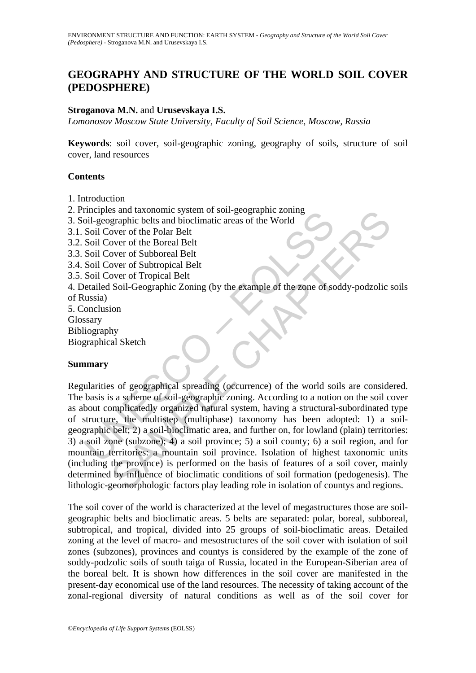# **GEOGRAPHY AND STRUCTURE OF THE WORLD SOIL COVER (PEDOSPHERE)**

### **Stroganova M.N.** and **Urusevskaya I.S.**

*Lomonosov Moscow State University, Faculty of Soil Science, Moscow, Russia* 

**Keywords**: soil cover, soil-geographic zoning, geography of soils, structure of soil cover, land resources

#### **Contents**

- 1. Introduction
- 2. Principles and taxonomic system of soil-geographic zoning
- 3. Soil-geographic belts and bioclimatic areas of the World
- 3.1. Soil Cover of the Polar Belt
- 3.2. Soil Cover of the Boreal Belt
- 3.3. Soil Cover of Subboreal Belt
- 3.4. Soil Cover of Subtropical Belt
- 3.5. Soil Cover of Tropical Belt

4. Detailed Soil-Geographic Zoning (by the example of the zone of soddy-podzolic soils of Russia)

5. Conclusion Glossary Bibliography Biographical Sketch

### **Summary**

metric and taxonomic system of some scheme of the World<br>
Coll-geographic belts and bioclimatic areas of the World<br>
Soil Cover of the Botan Belt<br>
Soil Cover of the Boreal Belt<br>
Soil Cover of Subtropical Belt<br>
Soil Cover of Sand axonomic system or soil-geographic zoning<br>graphic bels and bioclimatic areas of the World<br>over of the Boreal Belt<br>over of Subbroreal Belt<br>over of Subbroreal Belt<br>over of Subbroreal Belt<br>over of Subbroreal Belt<br>over of Regularities of geographical spreading (occurrence) of the world soils are considered. The basis is a scheme of soil-geographic zoning. According to a notion on the soil cover as about complicatedly organized natural system, having a structural-subordinated type of structure, the multistep (multiphase) taxonomy has been adopted: 1) a soilgeographic belt; 2) a soil-bioclimatic area, and further on, for lowland (plain) territories: 3) a soil zone (subzone); 4) a soil province; 5) a soil county; 6) a soil region, and for mountain territories: a mountain soil province. Isolation of highest taxonomic units (including the province) is performed on the basis of features of a soil cover, mainly determined by influence of bioclimatic conditions of soil formation (pedogenesis). The lithologic-geomorphologic factors play leading role in isolation of countys and regions.

The soil cover of the world is characterized at the level of megastructures those are soilgeographic belts and bioclimatic areas. 5 belts are separated: polar, boreal, subboreal, subtropical, and tropical, divided into 25 groups of soil-bioclimatic areas. Detailed zoning at the level of macro- and mesostructures of the soil cover with isolation of soil zones (subzones), provinces and countys is considered by the example of the zone of soddy-podzolic soils of south taiga of Russia, located in the European-Siberian area of the boreal belt. It is shown how differences in the soil cover are manifested in the present-day economical use of the land resources. The necessity of taking account of the zonal-regional diversity of natural conditions as well as of the soil cover for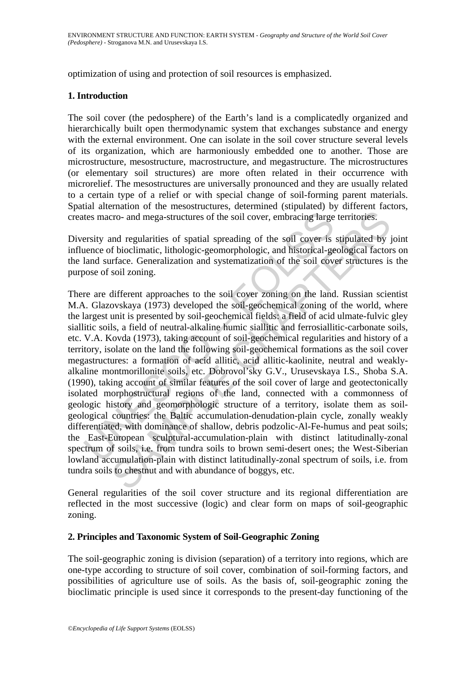optimization of using and protection of soil resources is emphasized.

# **1. Introduction**

The soil cover (the pedosphere) of the Earth's land is a complicatedly organized and hierarchically built open thermodynamic system that exchanges substance and energy with the external environment. One can isolate in the soil cover structure several levels of its organization, which are harmoniously embedded one to another. Those are microstructure, mesostructure, macrostructure, and megastructure. The microstructures (or elementary soil structures) are more often related in their occurrence with microrelief. The mesostructures are universally pronounced and they are usually related to a certain type of a relief or with special change of soil-forming parent materials. Spatial alternation of the mesostructures, determined (stipulated) by different factors, creates macro- and mega-structures of the soil cover, embracing large territories.

Diversity and regularities of spatial spreading of the soil cover is stipulated by joint influence of bioclimatic, lithologic-geomorphologic, and historical-geological factors on the land surface. Generalization and systematization of the soil cover structures is the purpose of soil zoning.

tes macro- and mega-structures of the soil cover, embracing large<br>ersity and regularities of spatial spreading of the soil cover is<br>ance of bioclimatic, lithologic-geomorphologic, and historical-ge<br>aland surface. Generaliz Example all specifical specific specific specific specific specific specific orders and mega-structures of the soil cover, embracing large territories.<br>
and regularities of spatial spreading of the soil cover is stipulated There are different approaches to the soil cover zoning on the land. Russian scientist M.A. Glazovskaya (1973) developed the soil-geochemical zoning of the world, where the largest unit is presented by soil-geochemical fields: a field of acid ulmate-fulvic gley siallitic soils, a field of neutral-alkaline humic siallitic and ferrosiallitic-carbonate soils, etc. V.A. Kovda (1973), taking account of soil-geochemical regularities and history of a territory, isolate on the land the following soil-geochemical formations as the soil cover megastructures: a formation of acid allitic, acid allitic-kaolinite, neutral and weaklyalkaline montmorillonite soils, etc. Dobrovol'sky G.V., Urusevskaya I.S., Shoba S.A. (1990), taking account of similar features of the soil cover of large and geotectonically isolated morphostructural regions of the land, connected with a commonness of geologic history and geomorphologic structure of a territory, isolate them as soilgeological countries: the Baltic accumulation-denudation-plain cycle, zonally weakly differentiated, with dominance of shallow, debris podzolic-Al-Fe-humus and peat soils; the East-European sculptural-accumulation-plain with distinct latitudinally-zonal spectrum of soils, i.e. from tundra soils to brown semi-desert ones; the West-Siberian lowland accumulation-plain with distinct latitudinally-zonal spectrum of soils, i.e. from tundra soils to chestnut and with abundance of boggys, etc.

General regularities of the soil cover structure and its regional differentiation are reflected in the most successive (logic) and clear form on maps of soil-geographic zoning.

### **2. Principles and Taxonomic System of Soil-Geographic Zoning**

The soil-geographic zoning is division (separation) of a territory into regions, which are one-type according to structure of soil cover, combination of soil-forming factors, and possibilities of agriculture use of soils. As the basis of, soil-geographic zoning the bioclimatic principle is used since it corresponds to the present-day functioning of the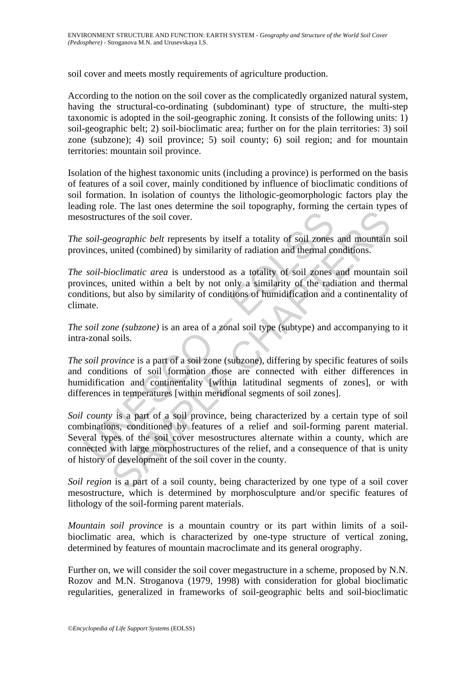soil cover and meets mostly requirements of agriculture production.

According to the notion on the soil cover as the complicatedly organized natural system, having the structural-co-ordinating (subdominant) type of structure, the multi-step taxonomic is adopted in the soil-geographic zoning. It consists of the following units: 1) soil-geographic belt; 2) soil-bioclimatic area; further on for the plain territories: 3) soil zone (subzone); 4) soil province; 5) soil county; 6) soil region; and for mountain territories: mountain soil province.

Isolation of the highest taxonomic units (including a province) is performed on the basis of features of a soil cover, mainly conditioned by influence of bioclimatic conditions of soil formation. In isolation of countys the lithologic-geomorphologic factors play the leading role. The last ones determine the soil topography, forming the certain types of mesostructures of the soil cover.

*The soil-geographic belt* represents by itself a totality of soil zones and mountain soil provinces, united (combined) by similarity of radiation and thermal conditions.

*The soil-bioclimatic area* is understood as a totality of soil zones and mountain soil provinces, united within a belt by not only a similarity of the radiation and thermal conditions, but also by similarity of conditions of humidification and a continentality of climate.

*The soil zone (subzone)* is an area of a zonal soil type (subtype) and accompanying to it intra-zonal soils.

*The soil province* is a part of a soil zone (subzone), differing by specific features of soils and conditions of soil formation those are connected with either differences in humidification and continentality [within latitudinal segments of zones], or with differences in temperatures [within meridional segments of soil zones].

ostructures of the soil cover.<br>
soil-geographic belt represents by itself a totality of soil zones<br>
sinces, united (combined) by similarity of radiation and thermal co<br>
soil-bioclimatic area is understood as a totality of the soil cover.<br> *Cographic belt* represents by itself a totality of soil zones and mountain<br> *Colimatic area* is understood as a totality of soil zones and mountain<br>
united (combined) by similarity of radiation and therm *Soil county* is a part of a soil province, being characterized by a certain type of soil combinations, conditioned by features of a relief and soil-forming parent material. Several types of the soil cover mesostructures alternate within a county, which are connected with large morphostructures of the relief, and a consequence of that is unity of history of development of the soil cover in the county.

*Soil region* is a part of a soil county, being characterized by one type of a soil cover mesostructure, which is determined by morphosculpture and/or specific features of lithology of the soil-forming parent materials.

*Mountain soil province* is a mountain country or its part within limits of a soilbioclimatic area, which is characterized by one-type structure of vertical zoning, determined by features of mountain macroclimate and its general orography.

Further on, we will consider the soil cover megastructure in a scheme, proposed by N.N. Rozov and M.N. Stroganova (1979, 1998) with consideration for global bioclimatic regularities, generalized in frameworks of soil-geographic belts and soil-bioclimatic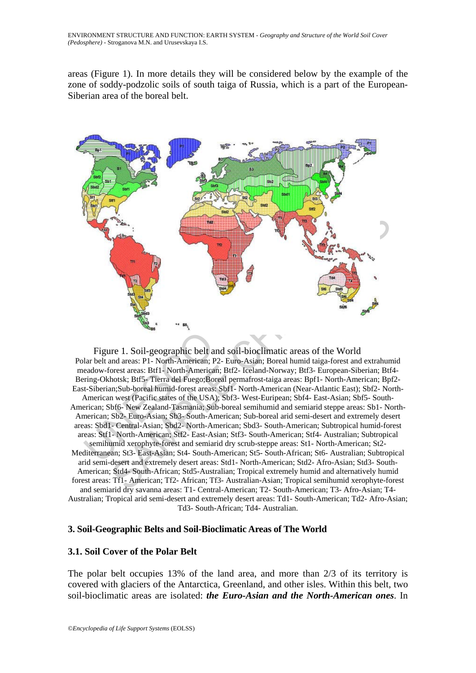areas (Figure 1). In more details they will be considered below by the example of the zone of soddy-podzolic soils of south taiga of Russia, which is a part of the European-Siberian area of the boreal belt.



SAMPLE CHAPTER CHAPTER (SEE THE SAMPLE CHAPTER CHAPTER CHAPTER STRIP (SEE THE SAMPLE CHAPTER STRIP (SEE THE SAMPLE CHAPTER CHAPTER CHAPTER (SEE THE SAMPLE CHAPTER CHAPTER CHAPTER CHAPTER (SEE THE SAMPLE CHAPTER CHAPTER CHA Figure 1. Soil-geographic belt and soil-bioclimatic areas of the World Polar belt and areas: P1- North-American; P2- Euro-Asian; Boreal humid taiga-forest and extrahumid meadow-forest areas: Btf1- North-American; Btf2- Iceland-Norway; Btf3- European-Siberian; Btf4- Bering-Okhotsk; Btf5- Tierra del Fuego;Boreal permafrost-taiga areas: Bpf1- North-American; Bpf2- East-Siberian;Sub-boreal humid-forest areas: Sbf1- North-American (Near-Atlantic East); Sbf2- North-American west (Pacific states of the USA); Sbf3- West-Euripean; Sbf4- East-Asian; Sbf5- South-American; Sbf6- New Zealand-Tasmania; Sub-boreal semihumid and semiarid steppe areas: Sb1- North-American; Sb2- Euro-Asian; Sb3- South-American; Sub-boreal arid semi-desert and extremely desert areas: Sbd1- Central-Asian; Sbd2- North-American; Sbd3- South-American; Subtropical humid-forest areas: Stf1- North-American; Stf2- East-Asian; Stf3- South-American; Stf4- Australian; Subtropical semihumid xerophyte-forest and semiarid dry scrub-steppe areas: St1- North-American; St2- Mediterranean; St3- East-Asian; St4- South-American; St5- South-African; St6- Australian; Subtropical arid semi-desert and extremely desert areas: Std1- North-American; Std2- Afro-Asian; Std3- South-American; Std4- South-African; Std5-Australian; Tropical extremely humid and alternatively humid forest areas: Tf1- American; Tf2- African; Tf3- Australian-Asian; Tropical semihumid xerophyte-forest and semiarid dry savanna areas: T1- Central-American; T2- South-American; T3- Afro-Asian; T4- Australian; Tropical arid semi-desert and extremely desert areas: Td1- South-American; Td2- Afro-Asian; Td3- South-African; Td4- Australian.

### **3. Soil-Geographic Belts and Soil-Bioclimatic Areas of The World**

### **3.1. Soil Cover of the Polar Belt**

The polar belt occupies 13% of the land area, and more than 2/3 of its territory is covered with glaciers of the Antarctica, Greenland, and other isles. Within this belt, two soil-bioclimatic areas are isolated: *the Euro-Asian and the North-American ones*. In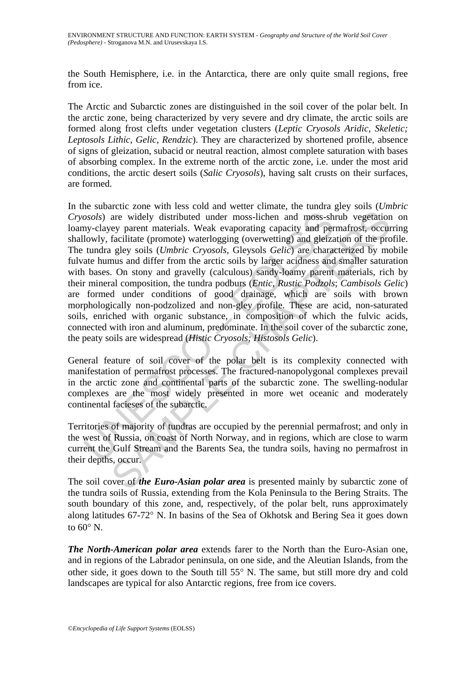the South Hemisphere, i.e. in the Antarctica, there are only quite small regions, free from ice.

The Arctic and Subarctic zones are distinguished in the soil cover of the polar belt. In the arctic zone, being characterized by very severe and dry climate, the arctic soils are formed along frost clefts under vegetation clusters (*Leptic Cryosols Aridic, Skeletic; Leptosols Lithic, Gelic, Rendzic*). They are characterized by shortened profile, absence of signs of gleization, subacid or neutral reaction, almost complete saturation with bases of absorbing complex. In the extreme north of the arctic zone, i.e. under the most arid conditions, the arctic desert soils (*Salic Cryosols*), having salt crusts on their surfaces, are formed.

osols) are widely distributed under moss-lichen and moss-sh<br>ny-clayey parent materials. Weak evaporating capacity and per<br>lowly, facilitate (promote) waterlogging (overwetting) and gleizz<br>tundra gley soils (*Umbric Cryosol* are widely distributed under moss-lichen and moss-shrub vegetation<br>ey parent materials. Weak evaporating capacity and permafrost, occur<br>facilitate (promote) waterlogging (overwetting) and gleization of the pro-<br>riggly soil In the subarctic zone with less cold and wetter climate, the tundra gley soils (*Umbric Cryosols*) are widely distributed under moss-lichen and moss-shrub vegetation on loamy-clayey parent materials. Weak evaporating capacity and permafrost, occurring shallowly, facilitate (promote) waterlogging (overwetting) and gleization of the profile. The tundra gley soils (*Umbric Cryosols,* Gleysols *Gelic*) are characterized by mobile fulvate humus and differ from the arctic soils by larger acidness and smaller saturation with bases. On stony and gravelly (calculous) sandy-loamy parent materials, rich by their mineral composition, the tundra podburs (*Entic, Rustic Podzols*; *Cambisols Gelic*) are formed under conditions of good drainage, which are soils with brown morphologically non-podzolized and non-gley profile. These are acid, non-saturated soils, enriched with organic substance, in composition of which the fulvic acids, connected with iron and aluminum, predominate. In the soil cover of the subarctic zone, the peaty soils are widespread (*Histic Cryosols; Histosols Gelic*).

General feature of soil cover of the polar belt is its complexity connected with manifestation of permafrost processes. The fractured-nanopolygonal complexes prevail in the arctic zone and continental parts of the subarctic zone. The swelling-nodular complexes are the most widely presented in more wet oceanic and moderately continental facieses of the subarctic.

Territories of majority of tundras are occupied by the perennial permafrost; and only in the west of Russia, on coast of North Norway, and in regions, which are close to warm current the Gulf Stream and the Barents Sea, the tundra soils, having no permafrost in their depths, occur.

The soil cover of *the Euro-Asian polar area* is presented mainly by subarctic zone of the tundra soils of Russia, extending from the Kola Peninsula to the Bering Straits. The south boundary of this zone, and, respectively, of the polar belt, runs approximately along latitudes 67-72° N. In basins of the Sea of Okhotsk and Bering Sea it goes down to  $60^\circ$  N.

*The North-American polar area* extends farer to the North than the Euro-Asian one, and in regions of the Labrador peninsula, on one side, and the Aleutian Islands, from the other side, it goes down to the South till 55° N. The same, but still more dry and cold landscapes are typical for also Antarctic regions, free from ice covers.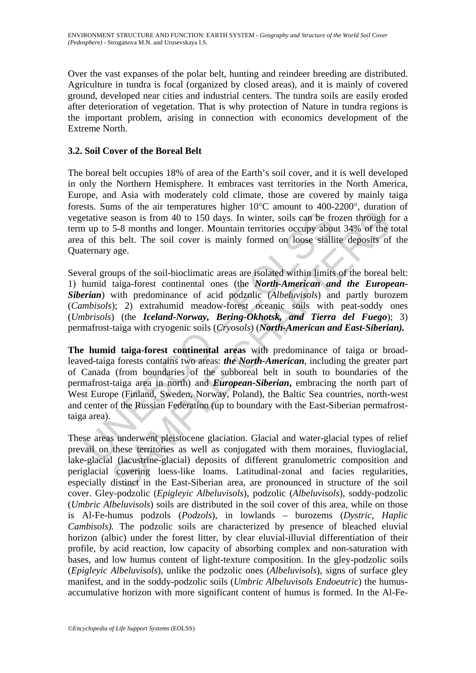Over the vast expanses of the polar belt, hunting and reindeer breeding are distributed. Agriculture in tundra is focal (organized by closed areas), and it is mainly of covered ground, developed near cities and industrial centers. The tundra soils are easily eroded after deterioration of vegetation. That is why protection of Nature in tundra regions is the important problem, arising in connection with economics development of the Extreme North.

# **3.2. Soil Cover of the Boreal Belt**

The boreal belt occupies 18% of area of the Earth's soil cover, and it is well developed in only the Northern Hemisphere. It embraces vast territories in the North America, Europe, and Asia with moderately cold climate, those are covered by mainly taiga forests. Sums of the air temperatures higher 10°C amount to 400-2200°, duration of vegetative season is from 40 to 150 days. In winter, soils can be frozen through for a term up to 5-8 months and longer. Mountain territories occupy about 34% of the total area of this belt. The soil cover is mainly formed on loose siallite deposits of the Quaternary age.

Several groups of the soil-bioclimatic areas are isolated within limits of the boreal belt: 1) humid taiga-forest continental ones (the *North-American and the European-Siberian*) with predominance of acid podzolic (*Albeluvisols*) and partly burozem (*Cambisols*); 2) extrahumid meadow-forest oceanic soils with peat-soddy ones (*Umbrisols*) (the *Iceland-Norway, Bering-Okhotsk, and Tierra del Fuego*); 3) permafrost-taiga with cryogenic soils (*Cryosols*) (*North-American and East-Siberian).*

etative season is from 40 to 150 days. In winter, soils can be frequenciative season is from 40 to 150 days. In winter, soils can be frequency about of this belt. The soil cover is mainly formed on loose stalline termany a mes on the antenpenator migrate to the unional convertigate of the temperator in the East Siberal diversity about 34% of the sis belt. The soil cover is mainly formed on loose stallite deposits of age.<br>
Season is from 40 t **The humid taiga-forest continental areas** with predominance of taiga or broadleaved-taiga forests contains two areas: *the North-American*, including the greater part of Canada (from boundaries of the subboreal belt in south to boundaries of the permafrost-taiga area in north) and *European-Siberian***,** embracing the north part of West Europe (Finland, Sweden, Norway, Poland), the Baltic Sea countries, north-west and center of the Russian Federation (up to boundary with the East-Siberian permafrosttaiga area).

These areas underwent pleistocene glaciation. Glacial and water-glacial types of relief prevail on these territories as well as conjugated with them moraines, fluvioglacial, lake-glacial (lacustrine-glacial) deposits of different granulometric composition and periglacial covering loess-like loams. Latitudinal-zonal and facies regularities, especially distinct in the East-Siberian area, are pronounced in structure of the soil cover. Gley-podzolic (*Epigleyic Albeluvisols*), podzolic (*Albeluvisols*), soddy-podzolic (*Umbric Albeluvisols*) soils are distributed in the soil cover of this area, while on those is Al-Fe-humus podzols (*Podzols*), in lowlands – burozems (*Dystric, Haplic Cambisols).* The podzolic soils are characterized by presence of bleached eluvial horizon (albic) under the forest litter, by clear eluvial-illuvial differentiation of their profile, by acid reaction, low capacity of absorbing complex and non-saturation with bases, and low humus content of light-texture composition. In the gley-podzolic soils (*Epigleyic Albeluvisols*), unlike the podzolic ones (*Albeluvisols*), signs of surface gley manifest, and in the soddy-podzolic soils (*Umbric Albeluvisols Endoeutric*) the humusaccumulative horizon with more significant content of humus is formed. In the Al-Fe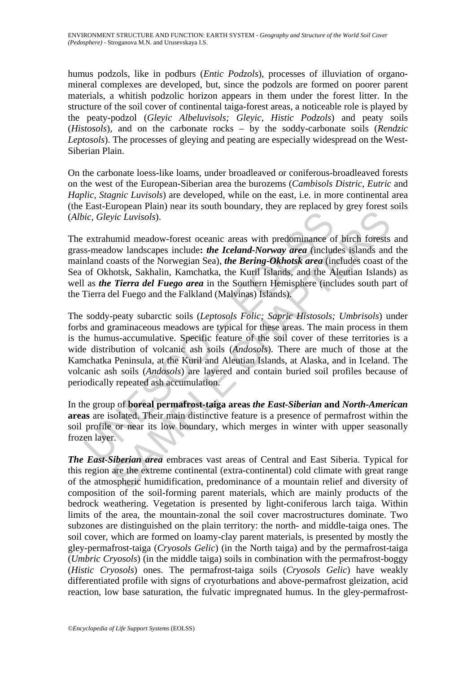humus podzols, like in podburs (*Entic Podzols*), processes of illuviation of organomineral complexes are developed, but, since the podzols are formed on poorer parent materials, a whitish podzolic horizon appears in them under the forest litter. In the structure of the soil cover of continental taiga-forest areas, a noticeable role is played by the peaty-podzol (*Gleyic Albeluvisols; Gleyic, Histic Podzols*) and peaty soils (*Histosols*), and on the carbonate rocks – by the soddy-carbonate soils (*Rendzic Leptosols*). The processes of gleying and peating are especially widespread on the West-Siberian Plain.

On the carbonate loess-like loams, under broadleaved or coniferous-broadleaved forests on the west of the European-Siberian area the burozems (*Cambisols Distric, Eutric* and *Haplic, Stagnic Luvisols*) are developed, while on the east, i.e. in more continental area (the East-European Plain) near its south boundary, they are replaced by grey forest soils (*Albic, Gleyic Luvisols*).

The extrahumid meadow-forest oceanic areas with predominance of birch forests and grass-meadow landscapes include**:** *the Iceland-Norway area* (includes islands and the mainland coasts of the Norwegian Sea), *the Bering-Okhotsk area* (includes coast of the Sea of Okhotsk, Sakhalin, Kamchatka, the Kuril Islands, and the Aleutian Islands) as well as *the Tierra del Fuego area* in the Southern Hemisphere (includes south part of the Tierra del Fuego and the Falkland (Malvinas) Islands).

ic, *Gleyic Luvisols*).<br>
extrahumid meadow-forest oceanic areas with predominance of s-s-meadow landscapes include: *the Iceland-Norway area* (included nod coats of the Norwegian Sea), *the Bering-Okhotsk area* (in of Okho yic Luvisols).<br>
Such Luvisols).<br>
Such Luvisols).<br>
Unid meadow-forest oceanic areas with predominance of birch forests<br>
low landscapes include: *the Leeland-Norway area* (includes islands and<br>
oasts of the Norwegian Sea), The soddy-peaty subarctic soils (*Leptosols Folic; Sapric Histosols; Umbrisols*) under forbs and graminaceous meadows are typical for these areas. The main process in them is the humus-accumulative. Specific feature of the soil cover of these territories is a wide distribution of volcanic ash soils (*Andosols*). There are much of those at the Kamchatka Peninsula, at the Kuril and Aleutian Islands, at Alaska, and in Iceland. The volcanic ash soils (*Andosols*) are layered and contain buried soil profiles because of periodically repeated ash accumulation.

In the group of **boreal permafrost-taiga areas** *the East-Siberian* **and** *North-American* **areas** are isolated. Their main distinctive feature is a presence of permafrost within the soil profile or near its low boundary, which merges in winter with upper seasonally frozen layer.

*The East-Siberian area* embraces vast areas of Central and East Siberia. Typical for this region are the extreme continental (extra-continental) cold climate with great range of the atmospheric humidification, predominance of a mountain relief and diversity of composition of the soil-forming parent materials, which are mainly products of the bedrock weathering. Vegetation is presented by light-coniferous larch taiga. Within limits of the area, the mountain-zonal the soil cover macrostructures dominate. Two subzones are distinguished on the plain territory: the north- and middle-taiga ones. The soil cover, which are formed on loamy-clay parent materials, is presented by mostly the gley-permafrost-taiga (*Cryosols Gelic*) (in the North taiga) and by the permafrost-taiga (*Umbric Cryosols*) (in the middle taiga) soils in combination with the permafrost-boggy (*Histic Cryosols*) ones. The permafrost-taiga soils (*Cryosols Gelic*) have weakly differentiated profile with signs of cryoturbations and above-permafrost gleization, acid reaction, low base saturation, the fulvatic impregnated humus. In the gley-permafrost-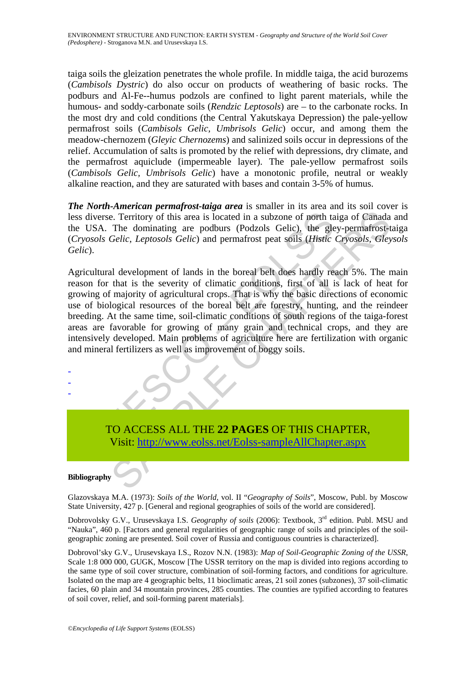taiga soils the gleization penetrates the whole profile. In middle taiga, the acid burozems (*Cambisols Dystric*) do also occur on products of weathering of basic rocks. The podburs and Al-Fe--humus podzols are confined to light parent materials, while the humous- and soddy-carbonate soils (*Rendzic Leptosols*) are – to the carbonate rocks. In the most dry and cold conditions (the Central Yakutskaya Depression) the pale-yellow permafrost soils (*Cambisols Gelic, Umbrisols Gelic*) occur, and among them the meadow-chernozem (*Gleyic Chernozems*) and salinized soils occur in depressions of the relief. Accumulation of salts is promoted by the relief with depressions, dry climate, and the permafrost aquiclude (impermeable layer). The pale-yellow permafrost soils (*Cambisols Gelic, Umbrisols Gelic*) have a monotonic profile, neutral or weakly alkaline reaction, and they are saturated with bases and contain 3-5% of humus.

*The North-American permafrost-taiga area* is smaller in its area and its soil cover is less diverse. Territory of this area is located in a subzone of north taiga of Canada and the USA. The dominating are podburs (Podzols Gelic), the gley-permafrost-taiga (*Cryosols Gelic*, *Leptosols Gelic*) and permafrost peat soils (*Histic Cryosols, Gleysols Gelic*).

diverse. Territory of this area is located in a subzone of north ta<br>USA. The dominating are podburs (Podzols Gelic), the gle<br> *cosols Gelic, Leptosols Gelic*) and permafrost peat soils (*Histic*<br> *ic)*.<br>
icultural developm Example 2012 and the state is solved in a subzone of north taiga of Canada<br>The dominating are podburs (Podzols Gelic), the gley-permafrost-<br>Gelic, Leptosols Gelic) and permafrost peat soils (*Histic Cryosols*, Gley<br>al deve Agricultural development of lands in the boreal belt does hardly reach 5%. The main reason for that is the severity of climatic conditions, first of all is lack of heat for growing of majority of agricultural crops. That is why the basic directions of economic use of biological resources of the boreal belt are forestry, hunting, and the reindeer breeding. At the same time, soil-climatic conditions of south regions of the taiga-forest areas are favorable for growing of many grain and technical crops, and they are intensively developed. Main problems of agriculture here are fertilization with organic and mineral fertilizers as well as improvement of boggy soils.

TO ACCESS ALL THE **22 PAGES** OF THIS CHAPTER, Visit: http://www.eolss.net/Eolss-sampleAllChapter.aspx

#### **Bibliography**

- - -

Glazovskaya M.A. (1973): *Soils of the World*, vol. II "*Geography of Soils*", Moscow, Publ. by Moscow State University, 427 p. [General and regional geographies of soils of the world are considered].

Dobrovolsky G.V., Urusevskaya I.S. *Geography of soils* (2006): Textbook, 3rd edition. Publ. MSU and "Nauka", 460 p. [Factors and general regularities of geographic range of soils and principles of the soilgeographic zoning are presented. Soil cover of Russia and contiguous countries is characterized].

Dobrovol'sky G.V., Urusevskaya I.S., Rozov N.N. (1983): *Map of Soil-Geographic Zoning of the USSR*, Scale 1:8 000 000, GUGK, Moscow [The USSR territory on the map is divided into regions according to the same type of soil cover structure, combination of soil-forming factors, and conditions for agriculture. Isolated on the map are 4 geographic belts, 11 bioclimatic areas, 21 soil zones (subzones), 37 soil-climatic facies, 60 plain and 34 mountain provinces, 285 counties. The counties are typified according to features of soil cover, relief, and soil-forming parent materials].